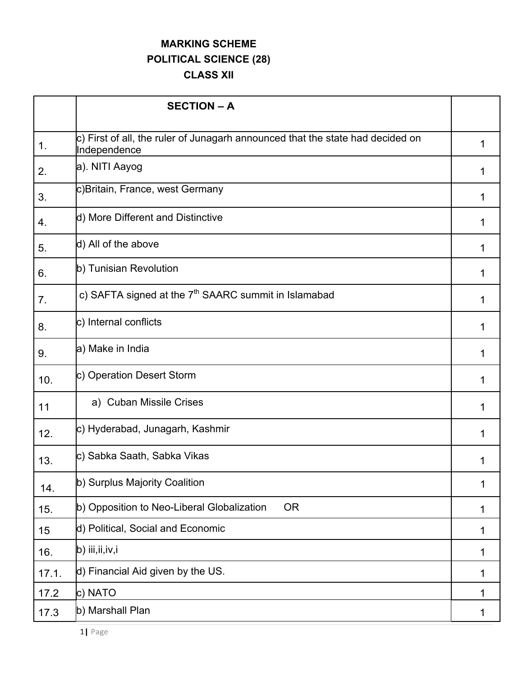## **MARKING SCHEME POLITICAL SCIENCE (28)**

**CLASS XII**

|               | <b>SECTION - A</b>                                                                             |   |
|---------------|------------------------------------------------------------------------------------------------|---|
| $\mathbf 1$ . | c) First of all, the ruler of Junagarh announced that the state had decided on<br>Independence |   |
| 2.            | a). NITI Aayog                                                                                 |   |
| 3.            | c)Britain, France, west Germany                                                                |   |
| 4.            | d) More Different and Distinctive                                                              |   |
| 5.            | d) All of the above                                                                            | 1 |
| 6.            | b) Tunisian Revolution                                                                         |   |
| 7.            | c) SAFTA signed at the 7 <sup>th</sup> SAARC summit in Islamabad                               | 1 |
| 8.            | c) Internal conflicts                                                                          |   |
| 9.            | a) Make in India                                                                               |   |
| 10.           | c) Operation Desert Storm                                                                      |   |
| 11            | a) Cuban Missile Crises                                                                        |   |
| 12.           | c) Hyderabad, Junagarh, Kashmir                                                                |   |
| 13.           | c) Sabka Saath, Sabka Vikas                                                                    |   |
| 14.           | b) Surplus Majority Coalition                                                                  | 1 |
| 15.           | b) Opposition to Neo-Liberal Globalization<br><b>OR</b>                                        | 1 |
| 15            | d) Political, Social and Economic                                                              | 1 |
| 16.           | b) iii,ii,iv,i                                                                                 | 1 |
| 17.1.         | d) Financial Aid given by the US.                                                              | 1 |
| 17.2          | c) NATO                                                                                        | 1 |
| 17.3          | b) Marshall Plan                                                                               | 1 |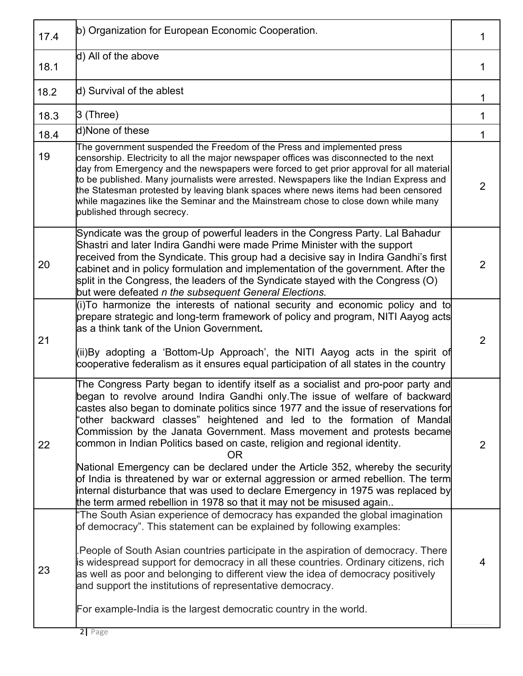| 17.4 | b) Organization for European Economic Cooperation.                                                                                                                                                                                                                                                                                                                                                                                                                                                                                                                                                                                                                                                                                                                                                                                 |                |
|------|------------------------------------------------------------------------------------------------------------------------------------------------------------------------------------------------------------------------------------------------------------------------------------------------------------------------------------------------------------------------------------------------------------------------------------------------------------------------------------------------------------------------------------------------------------------------------------------------------------------------------------------------------------------------------------------------------------------------------------------------------------------------------------------------------------------------------------|----------------|
| 18.1 | d) All of the above                                                                                                                                                                                                                                                                                                                                                                                                                                                                                                                                                                                                                                                                                                                                                                                                                | 1              |
| 18.2 | d) Survival of the ablest                                                                                                                                                                                                                                                                                                                                                                                                                                                                                                                                                                                                                                                                                                                                                                                                          | 1              |
| 18.3 | 3 (Three)                                                                                                                                                                                                                                                                                                                                                                                                                                                                                                                                                                                                                                                                                                                                                                                                                          | 1              |
| 18.4 | d)None of these                                                                                                                                                                                                                                                                                                                                                                                                                                                                                                                                                                                                                                                                                                                                                                                                                    | 1              |
| 19   | The government suspended the Freedom of the Press and implemented press<br>censorship. Electricity to all the major newspaper offices was disconnected to the next<br>day from Emergency and the newspapers were forced to get prior approval for all material<br>to be published. Many journalists were arrested. Newspapers like the Indian Express and<br>the Statesman protested by leaving blank spaces where news items had been censored<br>while magazines like the Seminar and the Mainstream chose to close down while many<br>published through secrecy.                                                                                                                                                                                                                                                                | 2              |
| 20   | Syndicate was the group of powerful leaders in the Congress Party. Lal Bahadur<br>Shastri and later Indira Gandhi were made Prime Minister with the support<br>received from the Syndicate. This group had a decisive say in Indira Gandhi's first<br>cabinet and in policy formulation and implementation of the government. After the<br>split in the Congress, the leaders of the Syndicate stayed with the Congress (O)<br>but were defeated n the subsequent General Elections.                                                                                                                                                                                                                                                                                                                                               | $\overline{2}$ |
| 21   | (i)To harmonize the interests of national security and economic policy and to<br>prepare strategic and long-term framework of policy and program, NITI Aayog acts<br>as a think tank of the Union Government.<br>(ii)By adopting a 'Bottom-Up Approach', the NITI Aayog acts in the spirit of<br>cooperative federalism as it ensures equal participation of all states in the country                                                                                                                                                                                                                                                                                                                                                                                                                                             | $\overline{2}$ |
| 22   | The Congress Party began to identify itself as a socialist and pro-poor party and<br>began to revolve around Indira Gandhi only. The issue of welfare of backward<br>castes also began to dominate politics since 1977 and the issue of reservations for<br>'other backward classes" heightened and led to the formation of Mandal<br>Commission by the Janata Government. Mass movement and protests became<br>common in Indian Politics based on caste, religion and regional identity.<br>OR.<br>National Emergency can be declared under the Article 352, whereby the security<br>of India is threatened by war or external aggression or armed rebellion. The term<br>internal disturbance that was used to declare Emergency in 1975 was replaced by<br>the term armed rebellion in 1978 so that it may not be misused again | 2              |
| 23   | "The South Asian experience of democracy has expanded the global imagination<br>of democracy". This statement can be explained by following examples:<br>People of South Asian countries participate in the aspiration of democracy. There<br>is widespread support for democracy in all these countries. Ordinary citizens, rich<br>as well as poor and belonging to different view the idea of democracy positively<br>and support the institutions of representative democracy.<br>For example-India is the largest democratic country in the world.                                                                                                                                                                                                                                                                            | 4              |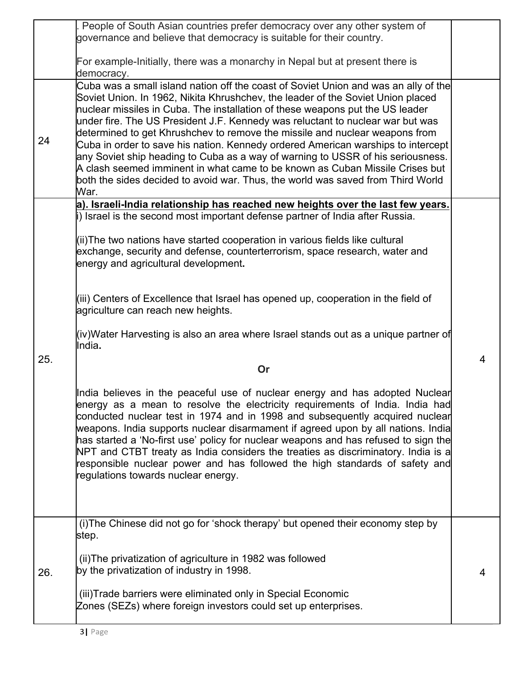| 26. | step.<br>(ii) The privatization of agriculture in 1982 was followed<br>by the privatization of industry in 1998.<br>(iii) Trade barriers were eliminated only in Special Economic<br>Zones (SEZs) where foreign investors could set up enterprises.                                                                                                                                                                                                                                                                                                                                                                                                                                                                                                                | 4 |
|-----|--------------------------------------------------------------------------------------------------------------------------------------------------------------------------------------------------------------------------------------------------------------------------------------------------------------------------------------------------------------------------------------------------------------------------------------------------------------------------------------------------------------------------------------------------------------------------------------------------------------------------------------------------------------------------------------------------------------------------------------------------------------------|---|
|     | India believes in the peaceful use of nuclear energy and has adopted Nuclear<br>energy as a mean to resolve the electricity requirements of India. India had<br>conducted nuclear test in 1974 and in 1998 and subsequently acquired nuclear<br>weapons. India supports nuclear disarmament if agreed upon by all nations. India<br>has started a 'No-first use' policy for nuclear weapons and has refused to sign the<br>NPT and CTBT treaty as India considers the treaties as discriminatory. India is a<br>responsible nuclear power and has followed the high standards of safety and<br>regulations towards nuclear energy.<br>(i) The Chinese did not go for 'shock therapy' but opened their economy step by                                              |   |
| 25. | (iv)Water Harvesting is also an area where Israel stands out as a unique partner of<br>India.<br>Or                                                                                                                                                                                                                                                                                                                                                                                                                                                                                                                                                                                                                                                                | 4 |
|     | (iii) Centers of Excellence that Israel has opened up, cooperation in the field of<br>agriculture can reach new heights.                                                                                                                                                                                                                                                                                                                                                                                                                                                                                                                                                                                                                                           |   |
|     | i) Israel is the second most important defense partner of India after Russia.<br>(ii) The two nations have started cooperation in various fields like cultural<br>exchange, security and defense, counterterrorism, space research, water and<br>energy and agricultural development.                                                                                                                                                                                                                                                                                                                                                                                                                                                                              |   |
|     | War.<br>a). Israeli-India relationship has reached new heights over the last few years.                                                                                                                                                                                                                                                                                                                                                                                                                                                                                                                                                                                                                                                                            |   |
| 24  | Cuba was a small island nation off the coast of Soviet Union and was an ally of the<br>Soviet Union. In 1962, Nikita Khrushchev, the leader of the Soviet Union placed<br>nuclear missiles in Cuba. The installation of these weapons put the US leader<br>under fire. The US President J.F. Kennedy was reluctant to nuclear war but was<br>determined to get Khrushchev to remove the missile and nuclear weapons from<br>Cuba in order to save his nation. Kennedy ordered American warships to intercept<br>any Soviet ship heading to Cuba as a way of warning to USSR of his seriousness.<br>A clash seemed imminent in what came to be known as Cuban Missile Crises but<br>both the sides decided to avoid war. Thus, the world was saved from Third World |   |
|     | For example-Initially, there was a monarchy in Nepal but at present there is<br>democracy.                                                                                                                                                                                                                                                                                                                                                                                                                                                                                                                                                                                                                                                                         |   |
|     | People of South Asian countries prefer democracy over any other system of<br>governance and believe that democracy is suitable for their country.                                                                                                                                                                                                                                                                                                                                                                                                                                                                                                                                                                                                                  |   |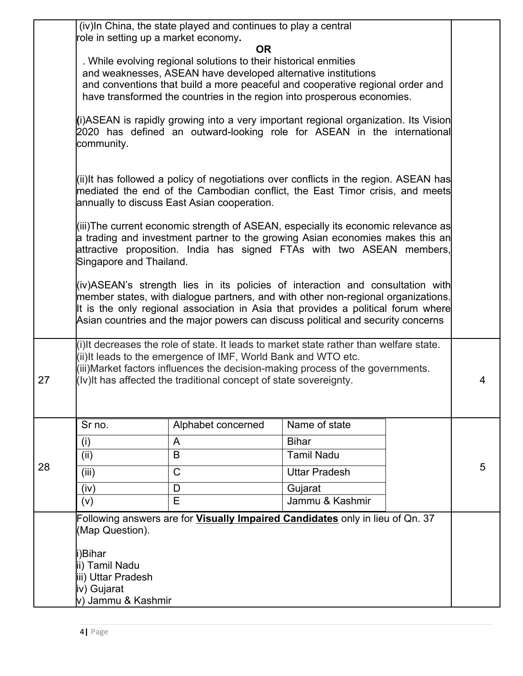|                                   | (iv) In China, the state played and continues to play a central<br>role in setting up a market economy.                                                                                                                                                                                                                                      |                                                                                                                                                                                                                     |                            |   |   |
|-----------------------------------|----------------------------------------------------------------------------------------------------------------------------------------------------------------------------------------------------------------------------------------------------------------------------------------------------------------------------------------------|---------------------------------------------------------------------------------------------------------------------------------------------------------------------------------------------------------------------|----------------------------|---|---|
|                                   | <b>OR</b><br>. While evolving regional solutions to their historical enmities<br>and weaknesses, ASEAN have developed alternative institutions<br>and conventions that build a more peaceful and cooperative regional order and<br>have transformed the countries in the region into prosperous economies.                                   |                                                                                                                                                                                                                     |                            |   |   |
|                                   | (i)ASEAN is rapidly growing into a very important regional organization. Its Vision<br>2020 has defined an outward-looking role for ASEAN in the international<br>community.                                                                                                                                                                 |                                                                                                                                                                                                                     |                            |   |   |
|                                   |                                                                                                                                                                                                                                                                                                                                              | (ii)It has followed a policy of negotiations over conflicts in the region. ASEAN has<br>mediated the end of the Cambodian conflict, the East Timor crisis, and meets<br>annually to discuss East Asian cooperation. |                            |   |   |
|                                   | (iii)The current economic strength of ASEAN, especially its economic relevance as<br>a trading and investment partner to the growing Asian economies makes this an<br>attractive proposition. India has signed FTAs with two ASEAN members,<br>Singapore and Thailand.                                                                       |                                                                                                                                                                                                                     |                            |   |   |
|                                   | (iv)ASEAN's strength lies in its policies of interaction and consultation with<br>member states, with dialogue partners, and with other non-regional organizations.<br>It is the only regional association in Asia that provides a political forum where<br>Asian countries and the major powers can discuss political and security concerns |                                                                                                                                                                                                                     |                            |   |   |
| 27                                | (i) It decreases the role of state. It leads to market state rather than welfare state.<br>(ii) It leads to the emergence of IMF, World Bank and WTO etc.<br>(iii) Market factors influences the decision-making process of the governments.<br>(Iv) It has affected the traditional concept of state sovereignty.                           |                                                                                                                                                                                                                     |                            | 4 |   |
|                                   | Sr no.                                                                                                                                                                                                                                                                                                                                       | Alphabet concerned                                                                                                                                                                                                  | Name of state              |   |   |
|                                   | (i)                                                                                                                                                                                                                                                                                                                                          | A                                                                                                                                                                                                                   | <b>Bihar</b>               |   |   |
| 28                                | (ii)                                                                                                                                                                                                                                                                                                                                         | B                                                                                                                                                                                                                   | <b>Tamil Nadu</b>          |   | 5 |
|                                   | (iii)                                                                                                                                                                                                                                                                                                                                        | $\mathsf{C}$                                                                                                                                                                                                        | <b>Uttar Pradesh</b>       |   |   |
|                                   | (iv)                                                                                                                                                                                                                                                                                                                                         | D<br>E                                                                                                                                                                                                              | Gujarat<br>Jammu & Kashmir |   |   |
|                                   | (v)                                                                                                                                                                                                                                                                                                                                          | Following answers are for <b>Visually Impaired Candidates</b> only in lieu of Qn. 37                                                                                                                                |                            |   |   |
|                                   | (Map Question).                                                                                                                                                                                                                                                                                                                              |                                                                                                                                                                                                                     |                            |   |   |
|                                   | i)Bihar                                                                                                                                                                                                                                                                                                                                      |                                                                                                                                                                                                                     |                            |   |   |
|                                   | ii) Tamil Nadu                                                                                                                                                                                                                                                                                                                               |                                                                                                                                                                                                                     |                            |   |   |
|                                   | iii) Uttar Pradesh                                                                                                                                                                                                                                                                                                                           |                                                                                                                                                                                                                     |                            |   |   |
| iv) Gujarat<br>v) Jammu & Kashmir |                                                                                                                                                                                                                                                                                                                                              |                                                                                                                                                                                                                     |                            |   |   |
|                                   |                                                                                                                                                                                                                                                                                                                                              |                                                                                                                                                                                                                     |                            |   |   |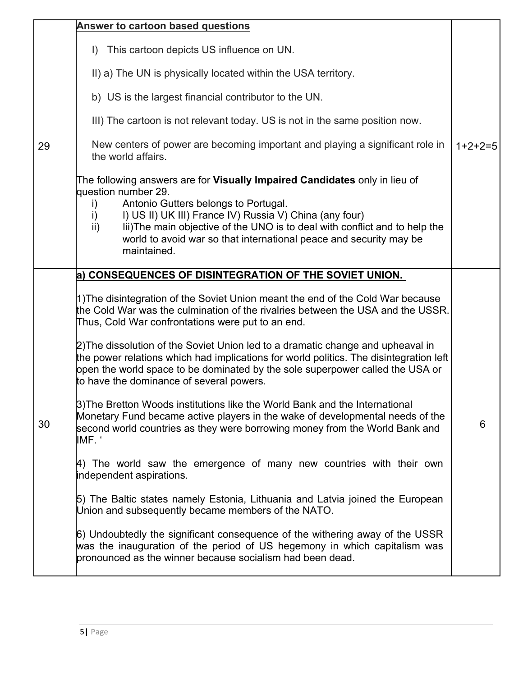|    | <b>Answer to cartoon based questions</b>                                                                                                                                                                                                                                                                     |           |
|----|--------------------------------------------------------------------------------------------------------------------------------------------------------------------------------------------------------------------------------------------------------------------------------------------------------------|-----------|
|    | I) This cartoon depicts US influence on UN.                                                                                                                                                                                                                                                                  |           |
|    | II) a) The UN is physically located within the USA territory.                                                                                                                                                                                                                                                |           |
|    | b) US is the largest financial contributor to the UN.                                                                                                                                                                                                                                                        |           |
|    | III) The cartoon is not relevant today. US is not in the same position now.                                                                                                                                                                                                                                  |           |
| 29 | New centers of power are becoming important and playing a significant role in<br>the world affairs.                                                                                                                                                                                                          | $1+2+2=5$ |
|    | The following answers are for Visually Impaired Candidates only in lieu of<br>question number 29.                                                                                                                                                                                                            |           |
|    | Antonio Gutters belongs to Portugal.<br>i)<br>I) US II) UK III) France IV) Russia V) China (any four)<br>$\mathsf{i}$<br>lii) The main objective of the UNO is to deal with conflict and to help the<br>$\mathsf{ii}$ )<br>world to avoid war so that international peace and security may be<br>maintained. |           |
|    | a) CONSEQUENCES OF DISINTEGRATION OF THE SOVIET UNION.                                                                                                                                                                                                                                                       |           |
|    | 1) The disintegration of the Soviet Union meant the end of the Cold War because<br>the Cold War was the culmination of the rivalries between the USA and the USSR.<br>Thus, Cold War confrontations were put to an end.                                                                                      |           |
| 30 | 2) The dissolution of the Soviet Union led to a dramatic change and upheaval in<br>the power relations which had implications for world politics. The disintegration left<br>open the world space to be dominated by the sole superpower called the USA or<br>to have the dominance of several powers.       |           |
|    | 3) The Bretton Woods institutions like the World Bank and the International<br>Monetary Fund became active players in the wake of developmental needs of the<br>second world countries as they were borrowing money from the World Bank and<br>IMF. '                                                        | 6         |
|    | 4) The world saw the emergence of many new countries with their own<br>independent aspirations.                                                                                                                                                                                                              |           |
|    | 5) The Baltic states namely Estonia, Lithuania and Latvia joined the European<br>Union and subsequently became members of the NATO.                                                                                                                                                                          |           |
|    | 6) Undoubtedly the significant consequence of the withering away of the USSR<br>was the inauguration of the period of US hegemony in which capitalism was<br>pronounced as the winner because socialism had been dead.                                                                                       |           |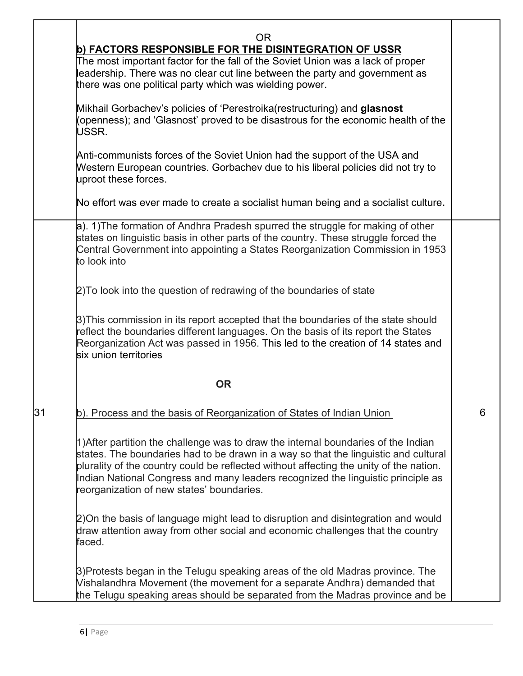|    | 0R<br>b) FACTORS RESPONSIBLE FOR THE DISINTEGRATION OF USSR<br>The most important factor for the fall of the Soviet Union was a lack of proper<br>leadership. There was no clear cut line between the party and government as<br>there was one political party which was wielding power.                                                                                                             |   |
|----|------------------------------------------------------------------------------------------------------------------------------------------------------------------------------------------------------------------------------------------------------------------------------------------------------------------------------------------------------------------------------------------------------|---|
|    | Mikhail Gorbachev's policies of 'Perestroika(restructuring) and glasnost<br>(openness); and 'Glasnost' proved to be disastrous for the economic health of the<br>USSR.                                                                                                                                                                                                                               |   |
|    | Anti-communists forces of the Soviet Union had the support of the USA and<br>Western European countries. Gorbachev due to his liberal policies did not try to<br>uproot these forces.                                                                                                                                                                                                                |   |
|    | No effort was ever made to create a socialist human being and a socialist culture.                                                                                                                                                                                                                                                                                                                   |   |
|    | a). 1) The formation of Andhra Pradesh spurred the struggle for making of other<br>states on linguistic basis in other parts of the country. These struggle forced the<br>Central Government into appointing a States Reorganization Commission in 1953<br>to look into                                                                                                                              |   |
|    | 2) To look into the question of redrawing of the boundaries of state                                                                                                                                                                                                                                                                                                                                 |   |
|    | 3) This commission in its report accepted that the boundaries of the state should<br>reflect the boundaries different languages. On the basis of its report the States<br>Reorganization Act was passed in 1956. This led to the creation of 14 states and<br>six union territories                                                                                                                  |   |
|    | <b>OR</b>                                                                                                                                                                                                                                                                                                                                                                                            |   |
| 31 | b). Process and the basis of Reorganization of States of Indian Union                                                                                                                                                                                                                                                                                                                                | 6 |
|    | 1) After partition the challenge was to draw the internal boundaries of the Indian<br>states. The boundaries had to be drawn in a way so that the linguistic and cultural<br>plurality of the country could be reflected without affecting the unity of the nation.<br>Indian National Congress and many leaders recognized the linguistic principle as<br>reorganization of new states' boundaries. |   |
|    | 2) On the basis of language might lead to disruption and disintegration and would<br>draw attention away from other social and economic challenges that the country<br>faced.                                                                                                                                                                                                                        |   |
|    | 3) Protests began in the Telugu speaking areas of the old Madras province. The<br>Vishalandhra Movement (the movement for a separate Andhra) demanded that<br>the Telugu speaking areas should be separated from the Madras province and be                                                                                                                                                          |   |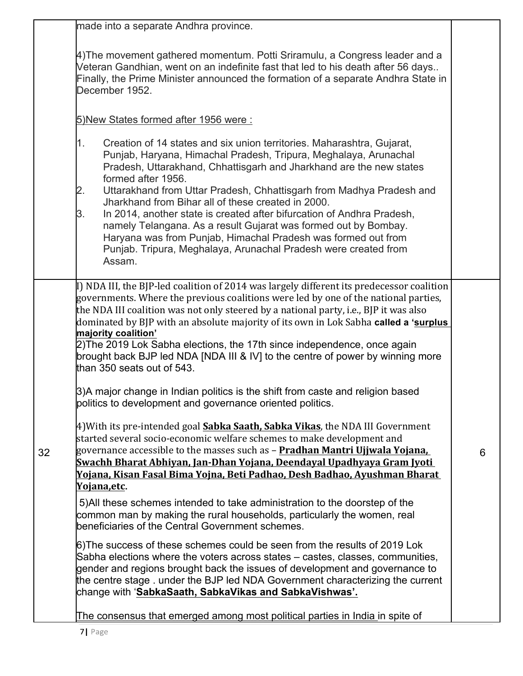| 4) The movement gathered momentum. Potti Sriramulu, a Congress leader and a<br>Veteran Gandhian, went on an indefinite fast that led to his death after 56 days<br>Finally, the Prime Minister announced the formation of a separate Andhra State in<br>December 1952.<br>5) New States formed after 1956 were:<br>Creation of 14 states and six union territories. Maharashtra, Gujarat,<br>1.<br>Punjab, Haryana, Himachal Pradesh, Tripura, Meghalaya, Arunachal<br>Pradesh, Uttarakhand, Chhattisgarh and Jharkhand are the new states<br>formed after 1956.<br>Uttarakhand from Uttar Pradesh, Chhattisgarh from Madhya Pradesh and<br>2.<br>Jharkhand from Bihar all of these created in 2000.<br>In 2014, another state is created after bifurcation of Andhra Pradesh,<br>3.<br>namely Telangana. As a result Gujarat was formed out by Bombay.<br>Haryana was from Punjab, Himachal Pradesh was formed out from<br>Punjab. Tripura, Meghalaya, Arunachal Pradesh were created from<br>Assam.<br>I) NDA III, the BJP-led coalition of 2014 was largely different its predecessor coalition<br>governments. Where the previous coalitions were led by one of the national parties,<br>the NDA III coalition was not only steered by a national party, i.e., BJP it was also<br>dominated by BJP with an absolute majority of its own in Lok Sabha called a 'surplus<br>majority coalition'<br>2) The 2019 Lok Sabha elections, the 17th since independence, once again<br>brought back BJP led NDA [NDA III & IV] to the centre of power by winning more<br>than 350 seats out of 543.<br>3)A major change in Indian politics is the shift from caste and religion based<br>politics to development and governance oriented politics.<br>4)With its pre-intended goal Sabka Saath, Sabka Vikas, the NDA III Government<br>started several socio-economic welfare schemes to make development and<br>governance accessible to the masses such as - Pradhan Mantri Ujjwala Yojana,<br>32<br>6<br>Swachh Bharat Abhiyan, Jan-Dhan Yojana, Deendayal Upadhyaya Gram Jyoti<br><u>Yojana, Kisan Fasal Bima Yojna, Beti Padhao, Desh Badhao, Ayushman Bharat</u><br>Yojana,etc.<br>5) All these schemes intended to take administration to the doorstep of the<br>common man by making the rural households, particularly the women, real<br>beneficiaries of the Central Government schemes.<br>6) The success of these schemes could be seen from the results of 2019 Lok<br>Sabha elections where the voters across states - castes, classes, communities,<br>gender and regions brought back the issues of development and governance to<br>the centre stage . under the BJP led NDA Government characterizing the current<br>change with 'SabkaSaath, SabkaVikas and SabkaVishwas'.<br>The consensus that emerged among most political parties in India in spite of | made into a separate Andhra province. |  |
|--------------------------------------------------------------------------------------------------------------------------------------------------------------------------------------------------------------------------------------------------------------------------------------------------------------------------------------------------------------------------------------------------------------------------------------------------------------------------------------------------------------------------------------------------------------------------------------------------------------------------------------------------------------------------------------------------------------------------------------------------------------------------------------------------------------------------------------------------------------------------------------------------------------------------------------------------------------------------------------------------------------------------------------------------------------------------------------------------------------------------------------------------------------------------------------------------------------------------------------------------------------------------------------------------------------------------------------------------------------------------------------------------------------------------------------------------------------------------------------------------------------------------------------------------------------------------------------------------------------------------------------------------------------------------------------------------------------------------------------------------------------------------------------------------------------------------------------------------------------------------------------------------------------------------------------------------------------------------------------------------------------------------------------------------------------------------------------------------------------------------------------------------------------------------------------------------------------------------------------------------------------------------------------------------------------------------------------------------------------------------------------------------------------------------------------------------------------------------------------------------------------------------------------------------------------------------------------------------------------------------------------------------------------------------------------------------------------------------------------------------------------------------------------------------------------------------------------------------------------------------|---------------------------------------|--|
|                                                                                                                                                                                                                                                                                                                                                                                                                                                                                                                                                                                                                                                                                                                                                                                                                                                                                                                                                                                                                                                                                                                                                                                                                                                                                                                                                                                                                                                                                                                                                                                                                                                                                                                                                                                                                                                                                                                                                                                                                                                                                                                                                                                                                                                                                                                                                                                                                                                                                                                                                                                                                                                                                                                                                                                                                                                                          |                                       |  |
|                                                                                                                                                                                                                                                                                                                                                                                                                                                                                                                                                                                                                                                                                                                                                                                                                                                                                                                                                                                                                                                                                                                                                                                                                                                                                                                                                                                                                                                                                                                                                                                                                                                                                                                                                                                                                                                                                                                                                                                                                                                                                                                                                                                                                                                                                                                                                                                                                                                                                                                                                                                                                                                                                                                                                                                                                                                                          |                                       |  |
|                                                                                                                                                                                                                                                                                                                                                                                                                                                                                                                                                                                                                                                                                                                                                                                                                                                                                                                                                                                                                                                                                                                                                                                                                                                                                                                                                                                                                                                                                                                                                                                                                                                                                                                                                                                                                                                                                                                                                                                                                                                                                                                                                                                                                                                                                                                                                                                                                                                                                                                                                                                                                                                                                                                                                                                                                                                                          |                                       |  |
|                                                                                                                                                                                                                                                                                                                                                                                                                                                                                                                                                                                                                                                                                                                                                                                                                                                                                                                                                                                                                                                                                                                                                                                                                                                                                                                                                                                                                                                                                                                                                                                                                                                                                                                                                                                                                                                                                                                                                                                                                                                                                                                                                                                                                                                                                                                                                                                                                                                                                                                                                                                                                                                                                                                                                                                                                                                                          |                                       |  |